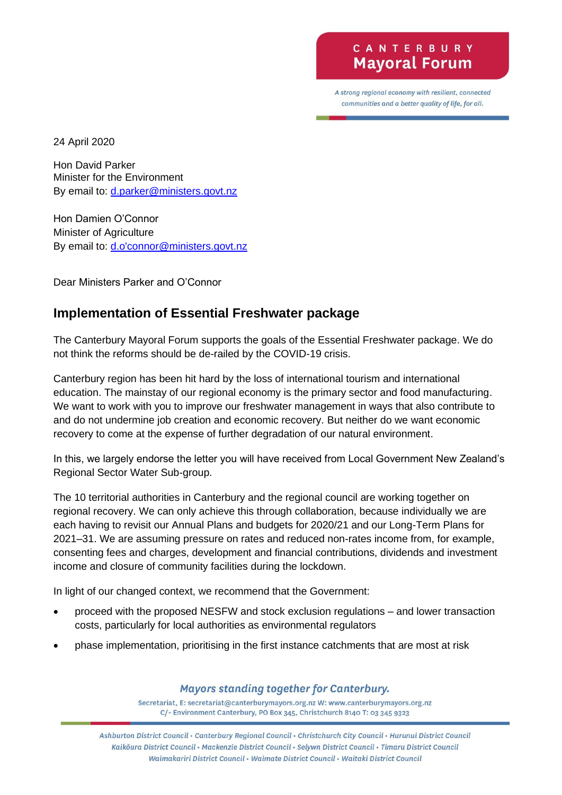## CANTERBURY **Mayoral Forum**

A strong regional economy with resilient, connected communities and a better quality of life, for all.

24 April 2020

Hon David Parker Minister for the Environment By email to: [d.parker@ministers.govt.nz](mailto:d.parker@ministers.govt.nz)

Hon Damien O'Connor Minister of Agriculture By email to: [d.o'connor@ministers.govt.nz](mailto:d.o)

Dear Ministers Parker and O'Connor

## **Implementation of Essential Freshwater package**

The Canterbury Mayoral Forum supports the goals of the Essential Freshwater package. We do not think the reforms should be de-railed by the COVID-19 crisis.

Canterbury region has been hit hard by the loss of international tourism and international education. The mainstay of our regional economy is the primary sector and food manufacturing. We want to work with you to improve our freshwater management in ways that also contribute to and do not undermine job creation and economic recovery. But neither do we want economic recovery to come at the expense of further degradation of our natural environment.

In this, we largely endorse the letter you will have received from Local Government New Zealand's Regional Sector Water Sub-group.

The 10 territorial authorities in Canterbury and the regional council are working together on regional recovery. We can only achieve this through collaboration, because individually we are each having to revisit our Annual Plans and budgets for 2020/21 and our Long-Term Plans for 2021–31. We are assuming pressure on rates and reduced non-rates income from, for example, consenting fees and charges, development and financial contributions, dividends and investment income and closure of community facilities during the lockdown.

In light of our changed context, we recommend that the Government:

- proceed with the proposed NESFW and stock exclusion regulations and lower transaction costs, particularly for local authorities as environmental regulators
- phase implementation, prioritising in the first instance catchments that are most at risk

## Mayors standing together for Canterbury.

Secretariat, E: secretariat@canterburymayors.org.nz W: www.canterburymayors.org.nz C/- Environment Canterbury, PO Box 345, Christchurch 8140 T: 03 345 9323